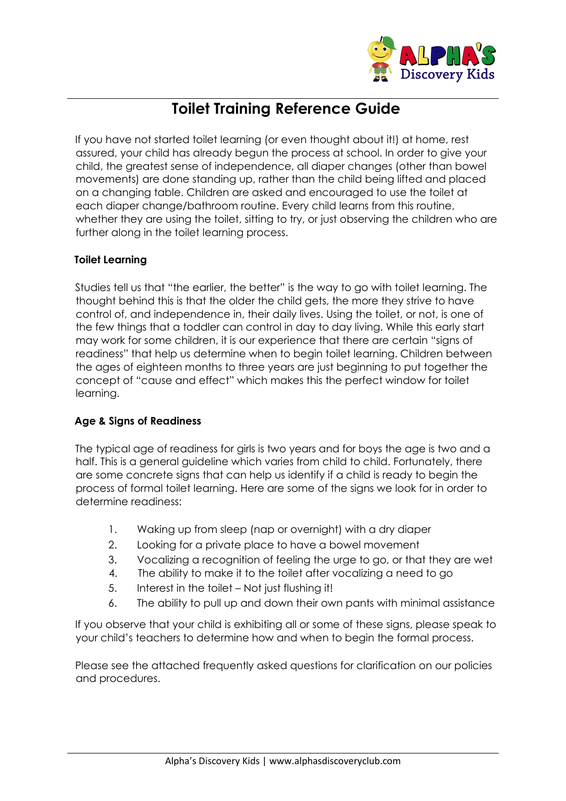

## **Toilet Training Reference Guide**

If you have not started toilet learning (or even thought about it!) at home, rest assured, your child has already begun the process at school. In order to give your child, the greatest sense of independence, all diaper changes (other than bowel movements) are done standing up, rather than the child being lifted and placed on a changing table. Children are asked and encouraged to use the toilet at each diaper change/bathroom routine. Every child learns from this routine, whether they are using the toilet, sitting to try, or just observing the children who are further along in the toilet learning process.

## **Toilet Learning**

Studies tell us that "the earlier, the better" is the way to go with toilet learning. The thought behind this is that the older the child gets, the more they strive to have control of, and independence in, their daily lives. Using the toilet, or not, is one of the few things that a toddler can control in day to day living. While this early start may work for some children, it is our experience that there are certain "signs of readiness" that help us determine when to begin toilet learning. Children between the ages of eighteen months to three years are just beginning to put together the concept of "cause and effect" which makes this the perfect window for toilet learning.

## **Age & Signs of Readiness**

The typical age of readiness for girls is two years and for boys the age is two and a half. This is a general guideline which varies from child to child. Fortunately, there are some concrete signs that can help us identify if a child is ready to begin the process of formal toilet learning. Here are some of the signs we look for in order to determine readiness:

- 1. Waking up from sleep (nap or overnight) with a dry diaper
- 2. Looking for a private place to have a bowel movement
- 3. Vocalizing a recognition of feeling the urge to go, or that they are wet
- 4. The ability to make it to the toilet after vocalizing a need to go
- 5. Interest in the toilet Not just flushing it!
- 6. The ability to pull up and down their own pants with minimal assistance

If you observe that your child is exhibiting all or some of these signs, please speak to your child's teachers to determine how and when to begin the formal process.

Please see the attached frequently asked questions for clarification on our policies and procedures.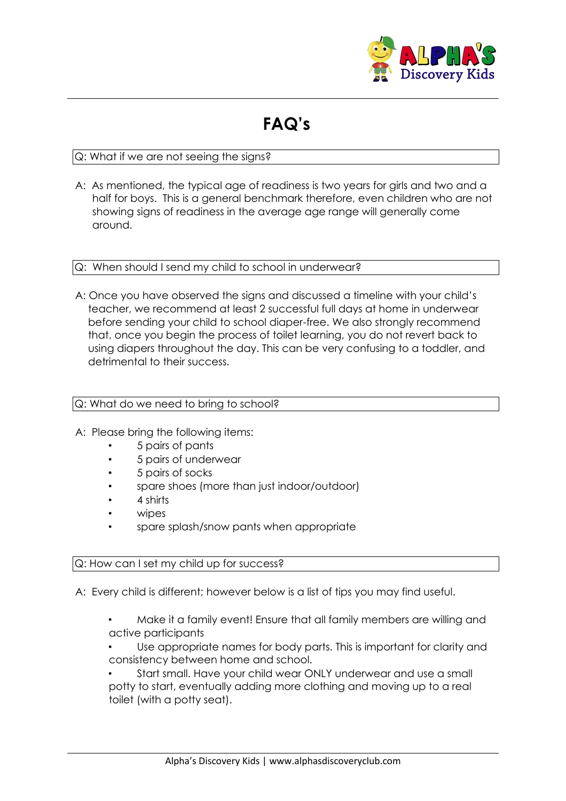

# **FAQ's**

## Q: What if we are not seeing the signs?

A: As mentioned, the typical age of readiness is two years for girls and two and a half for boys. This is a general benchmark therefore, even children who are not showing signs of readiness in the average age range will generally come around.

#### Q: When should I send my child to school in underwear?

A: Once you have observed the signs and discussed a timeline with your child's teacher, we recommend at least 2 successful full days at home in underwear before sending your child to school diaper-free. We also strongly recommend that, once you begin the process of toilet learning, you do not revert back to using diapers throughout the day. This can be very confusing to a toddler, and detrimental to their success.

## Q: What do we need to bring to school?

- A: Please bring the following items:
	- 5 pairs of pants
	- 5 pairs of underwear
	- 5 pairs of socks
	- spare shoes (more than just indoor/outdoor)
	- 4 shirts
	- wipes
	- spare splash/snow pants when appropriate

## Q: How can I set my child up for success?

A: Every child is different; however below is a list of tips you may find useful.

- Make it a family event! Ensure that all family members are willing and active participants
- Use appropriate names for body parts. This is important for clarity and consistency between home and school.

• Start small. Have your child wear ONLY underwear and use a small potty to start, eventually adding more clothing and moving up to a real toilet (with a potty seat).